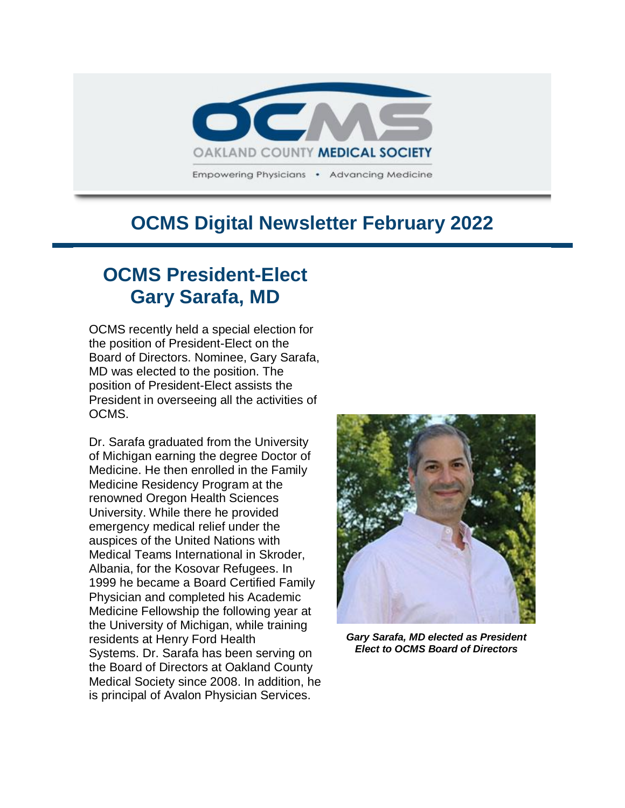

## **OCMS Digital Newsletter February 2022**

# **OCMS President-Elect Gary Sarafa, MD**

OCMS recently held a special election for the position of President-Elect on the Board of Directors. Nominee, Gary Sarafa, MD was elected to the position. The position of President-Elect assists the President in overseeing all the activities of OCMS.

Dr. Sarafa graduated from the University of Michigan earning the degree Doctor of Medicine. He then enrolled in the Family Medicine Residency Program at the renowned Oregon Health Sciences University. While there he provided emergency medical relief under the auspices of the United Nations with Medical Teams International in Skroder, Albania, for the Kosovar Refugees. In 1999 he became a Board Certified Family Physician and completed his Academic Medicine Fellowship the following year at the University of Michigan, while training residents at Henry Ford Health Systems. Dr. Sarafa has been serving on the Board of Directors at Oakland County Medical Society since 2008. In addition, he is principal of Avalon Physician Services.



*Gary Sarafa, MD elected as President Elect to OCMS Board of Directors*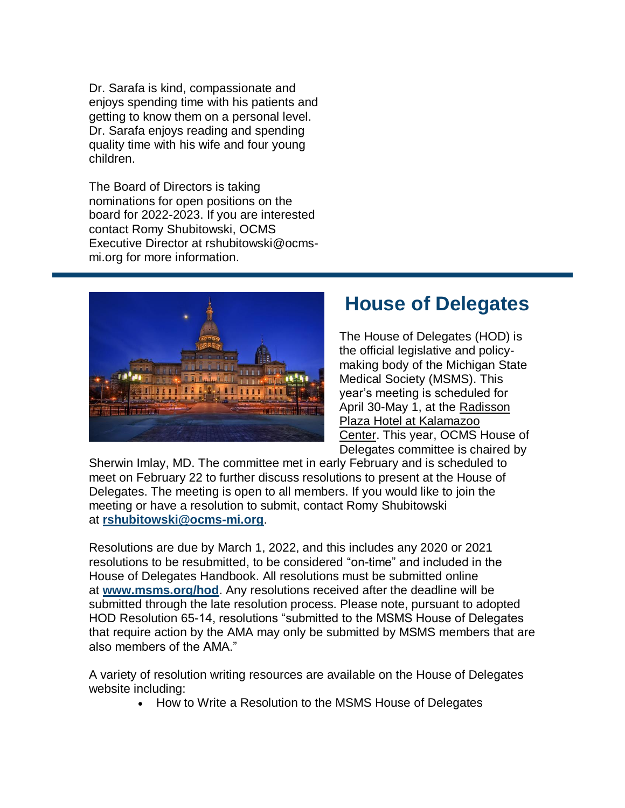Dr. Sarafa is kind, compassionate and enjoys spending time with his patients and getting to know them on a personal level. Dr. Sarafa enjoys reading and spending quality time with his wife and four young children.

The Board of Directors is taking nominations for open positions on the board for 2022-2023. If you are interested contact Romy Shubitowski, OCMS Executive Director at rshubitowski@ocmsmi.org for more information.



## **House of Delegates**

The House of Delegates (HOD) is the official legislative and policymaking body of the Michigan State Medical Society (MSMS). This year's meeting is scheduled for April 30-May 1, at the [Radisson](https://www.radissonhotelsamericas.com/en-us/hotels/radisson-kalamazoo-center)  [Plaza Hotel at Kalamazoo](https://www.radissonhotelsamericas.com/en-us/hotels/radisson-kalamazoo-center)  [Center.](https://www.radissonhotelsamericas.com/en-us/hotels/radisson-kalamazoo-center) This year, OCMS House of Delegates committee is chaired by

Sherwin Imlay, MD. The committee met in early February and is scheduled to meet on February 22 to further discuss resolutions to present at the House of Delegates. The meeting is open to all members. If you would like to join the meeting or have a resolution to submit, contact Romy Shubitowski at **[rshubitowski@ocms-mi.org](mailto:rshubitowski@ocms-mi.org)**.

Resolutions are due by March 1, 2022, and this includes any 2020 or 2021 resolutions to be resubmitted, to be considered "on-time" and included in the House of Delegates Handbook. All resolutions must be submitted online at **[www.msms.org/hod](http://www.msms.org/hod)**. Any resolutions received after the deadline will be submitted through the late resolution process. Please note, pursuant to adopted HOD Resolution 65-14, resolutions "submitted to the MSMS House of Delegates that require action by the AMA may only be submitted by MSMS members that are also members of the AMA."

A variety of resolution writing resources are available on the House of Delegates website including:

How to Write a Resolution to the MSMS House of Delegates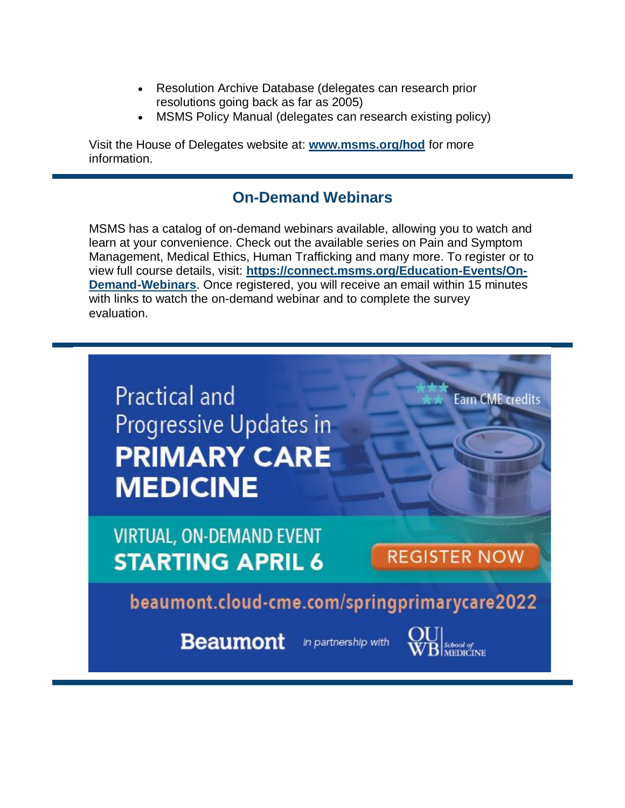- Resolution Archive Database (delegates can research prior resolutions going back as far as 2005)
- MSMS Policy Manual (delegates can research existing policy)

Visit the House of Delegates website at: **[www.msms.org/hod](http://www.msms.org/hod)** for more information.

### **On-Demand Webinars**

MSMS has a catalog of on-demand webinars available, allowing you to watch and learn at your convenience. Check out the available series on Pain and Symptom Management, Medical Ethics, Human Trafficking and many more. To register or to view full course details, visit: **[https://connect.msms.org/Education-Events/On-](https://connect.msms.org/Education-Events/On-Demand-Webinars)[Demand-Webinars](https://connect.msms.org/Education-Events/On-Demand-Webinars)**. Once registered, you will receive an email within 15 minutes with links to watch the on-demand webinar and to complete the survey evaluation.